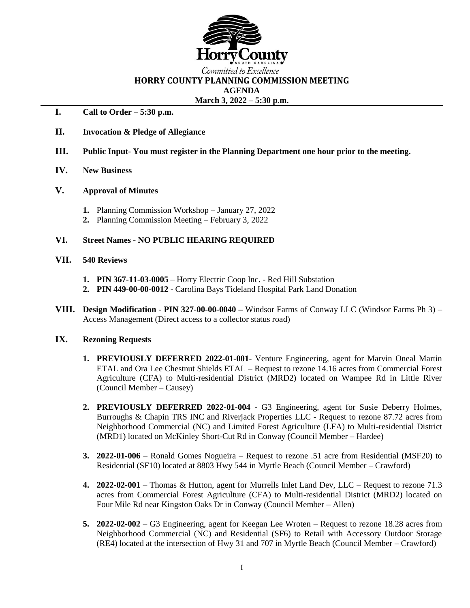

# Committed to Excellence **HORRY COUNTY PLANNING COMMISSION MEETING AGENDA**

#### **March 3, 2022 – 5:30 p.m.**

# **I. Call to Order – 5:30 p.m.**

- **II. Invocation & Pledge of Allegiance**
- **III. Public Input- You must register in the Planning Department one hour prior to the meeting.**
- **IV. New Business**
- **V. Approval of Minutes**
	- **1.** Planning Commission Workshop January 27, 2022
	- **2.** Planning Commission Meeting February 3, 2022

### **VI. Street Names - NO PUBLIC HEARING REQUIRED**

#### **VII. 540 Reviews**

- **1. PIN 367-11-03-0005** Horry Electric Coop Inc. Red Hill Substation
- **2. PIN 449-00-00-0012** Carolina Bays Tideland Hospital Park Land Donation
- **VIII. Design Modification PIN 327-00-00-0040 –** Windsor Farms of Conway LLC (Windsor Farms Ph 3) Access Management (Direct access to a collector status road)

### **IX. Rezoning Requests**

- **1. PREVIOUSLY DEFERRED 2022-01-001** Venture Engineering, agent for Marvin Oneal Martin ETAL and Ora Lee Chestnut Shields ETAL – Request to rezone 14.16 acres from Commercial Forest Agriculture (CFA) to Multi-residential District (MRD2) located on Wampee Rd in Little River (Council Member – Causey)
- **2. PREVIOUSLY DEFERRED 2022-01-004 -** G3 Engineering, agent for Susie Deberry Holmes, Burroughs & Chapin TRS INC and Riverjack Properties LLC - Request to rezone 87.72 acres from Neighborhood Commercial (NC) and Limited Forest Agriculture (LFA) to Multi-residential District (MRD1) located on McKinley Short-Cut Rd in Conway (Council Member – Hardee)
- **3. 2022-01-006** Ronald Gomes Nogueira Request to rezone .51 acre from Residential (MSF20) to Residential (SF10) located at 8803 Hwy 544 in Myrtle Beach (Council Member – Crawford)
- **4. 2022-02-001** Thomas & Hutton, agent for Murrells Inlet Land Dev, LLC Request to rezone 71.3 acres from Commercial Forest Agriculture (CFA) to Multi-residential District (MRD2) located on Four Mile Rd near Kingston Oaks Dr in Conway (Council Member – Allen)
- **5. 2022-02-002** G3 Engineering, agent for Keegan Lee Wroten Request to rezone 18.28 acres from Neighborhood Commercial (NC) and Residential (SF6) to Retail with Accessory Outdoor Storage (RE4) located at the intersection of Hwy 31 and 707 in Myrtle Beach (Council Member – Crawford)